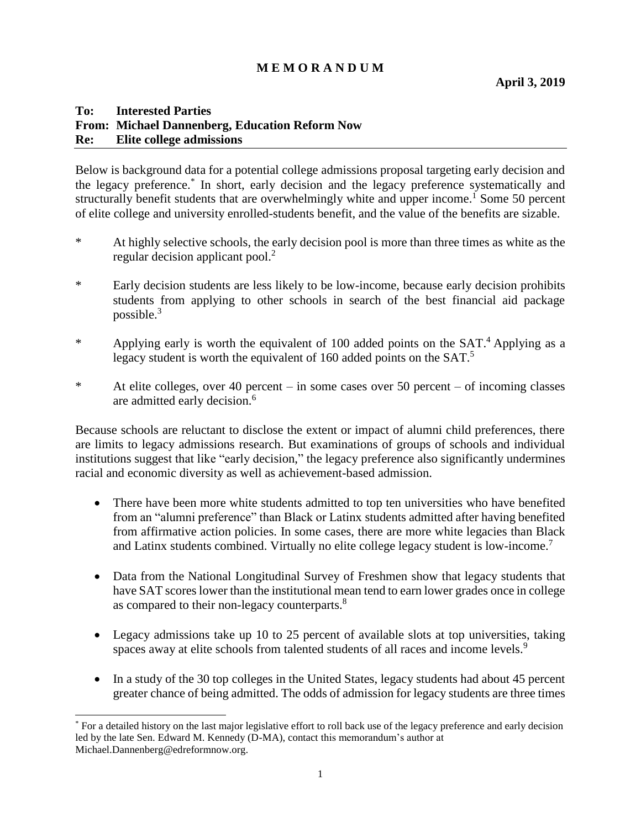# **M E M O R A N D U M**

#### **To: Interested Parties From: Michael Dannenberg, Education Reform Now Re: Elite college admissions**

Below is background data for a potential college admissions proposal targeting early decision and the legacy preference.\* In short, early decision and the legacy preference systematically and structurally benefit students that are overwhelmingly white and upper income.<sup>1</sup> Some 50 percent of elite college and university enrolled-students benefit, and the value of the benefits are sizable.

- \* At highly selective schools, the early decision pool is more than three times as white as the regular decision applicant pool. $<sup>2</sup>$ </sup>
- \* Early decision students are less likely to be low-income, because early decision prohibits students from applying to other schools in search of the best financial aid package possible. $3$
- \* Applying early is worth the equivalent of 100 added points on the SAT. <sup>4</sup> Applying as a legacy student is worth the equivalent of 160 added points on the SAT.<sup>5</sup>
- \* At elite colleges, over 40 percent in some cases over 50 percent of incoming classes are admitted early decision.<sup>6</sup>

Because schools are reluctant to disclose the extent or impact of alumni child preferences, there are limits to legacy admissions research. But examinations of groups of schools and individual institutions suggest that like "early decision," the legacy preference also significantly undermines racial and economic diversity as well as achievement-based admission.

- There have been more white students admitted to top ten universities who have benefited from an "alumni preference" than Black or Latinx students admitted after having benefited from affirmative action policies. In some cases, there are more white legacies than Black and Latinx students combined. Virtually no elite college legacy student is low-income.<sup>7</sup>
- Data from the National Longitudinal Survey of Freshmen show that legacy students that have SAT scores lower than the institutional mean tend to earn lower grades once in college as compared to their non-legacy counterparts.<sup>8</sup>
- Legacy admissions take up 10 to 25 percent of available slots at top universities, taking spaces away at elite schools from talented students of all races and income levels.<sup>9</sup>
- In a study of the 30 top colleges in the United States, legacy students had about 45 percent greater chance of being admitted. The odds of admission for legacy students are three times

 $\overline{a}$ 

<sup>\*</sup> For a detailed history on the last major legislative effort to roll back use of the legacy preference and early decision led by the late Sen. Edward M. Kennedy (D-MA), contact this memorandum's author at Michael.Dannenberg@edreformnow.org.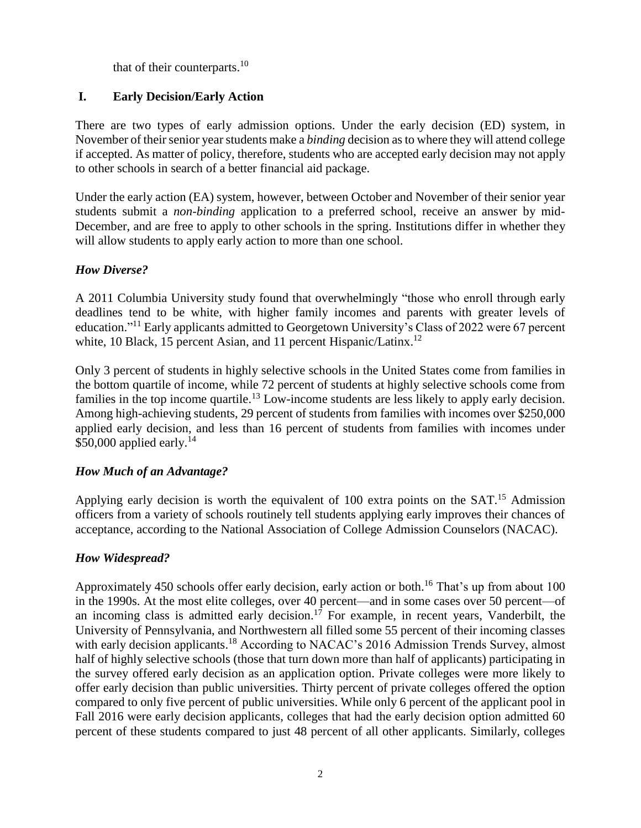that of their counterparts.<sup>10</sup>

# **I. Early Decision/Early Action**

There are two types of early admission options. Under the early decision (ED) system, in November of their senior yearstudents make a *binding* decision as to where they will attend college if accepted. As matter of policy, therefore, students who are accepted early decision may not apply to other schools in search of a better financial aid package.

Under the early action (EA) system, however, between October and November of their senior year students submit a *non-binding* application to a preferred school, receive an answer by mid-December, and are free to apply to other schools in the spring. Institutions differ in whether they will allow students to apply early action to more than one school.

# *How Diverse?*

A 2011 Columbia University study found that overwhelmingly "those who enroll through early deadlines tend to be white, with higher family incomes and parents with greater levels of education."<sup>11</sup> Early applicants admitted to Georgetown University's Class of 2022 were 67 percent white, 10 Black, 15 percent Asian, and 11 percent Hispanic/Latinx.<sup>12</sup>

Only 3 percent of students in highly selective schools in the United States come from families in the bottom quartile of income, while 72 percent of students at highly selective schools come from families in the top income quartile.<sup>13</sup> Low-income students are less likely to apply early decision. Among high-achieving students, 29 percent of students from families with incomes over \$250,000 applied early decision, and less than 16 percent of students from families with incomes under \$50,000 applied early.<sup>14</sup>

# *How Much of an Advantage?*

Applying early decision is worth the equivalent of 100 extra points on the SAT.<sup>15</sup> Admission officers from a variety of schools routinely tell students applying early improves their chances of acceptance, according to the National Association of College Admission Counselors (NACAC).

# *How Widespread?*

Approximately 450 schools offer early decision, early action or both.<sup>16</sup> That's up from about 100 in the 1990s. At the most elite colleges, over 40 percent—and in some cases over 50 percent—of an incoming class is admitted early decision.<sup>17</sup> For example, in recent years, Vanderbilt, the University of Pennsylvania, and Northwestern all filled some 55 percent of their incoming classes with early decision applicants.<sup>18</sup> According to NACAC's 2016 Admission Trends Survey, almost half of highly selective schools (those that turn down more than half of applicants) participating in the survey offered early decision as an application option. Private colleges were more likely to offer early decision than public universities. Thirty percent of private colleges offered the option compared to only five percent of public universities. While only 6 percent of the applicant pool in Fall 2016 were early decision applicants, colleges that had the early decision option admitted 60 percent of these students compared to just 48 percent of all other applicants. Similarly, colleges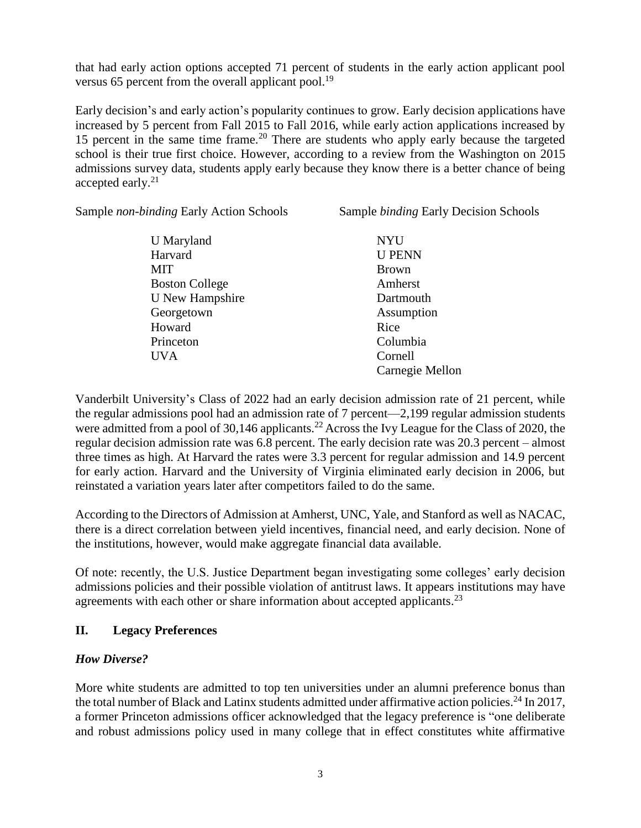that had early action options accepted 71 percent of students in the early action applicant pool versus 65 percent from the overall applicant pool.<sup>19</sup>

Early decision's and early action's popularity continues to grow. Early decision applications have increased by 5 percent from Fall 2015 to Fall 2016, while early action applications increased by 15 percent in the same time frame.<sup>20</sup> There are students who apply early because the targeted school is their true first choice. However, according to a review from the Washington on 2015 admissions survey data, students apply early because they know there is a better chance of being accepted early.<sup>21</sup>

Sample *non-binding* Early Action Schools Sample *binding* Early Decision Schools

| <b>U</b> Maryland      | <b>NYU</b>      |
|------------------------|-----------------|
| Harvard                | <b>U PENN</b>   |
| MIT                    | <b>Brown</b>    |
| <b>Boston College</b>  | Amherst         |
| <b>U</b> New Hampshire | Dartmouth       |
| Georgetown             | Assumption      |
| Howard                 | Rice            |
| Princeton              | Columbia        |
| <b>UVA</b>             | Cornell         |
|                        | Carnegie Mellon |

Vanderbilt University's Class of 2022 had an early decision admission rate of 21 percent, while the regular admissions pool had an admission rate of 7 percent—2,199 regular admission students were admitted from a pool of 30,146 applicants.<sup>22</sup> Across the Ivy League for the Class of 2020, the regular decision admission rate was 6.8 percent. The early decision rate was 20.3 percent – almost three times as high. At Harvard the rates were 3.3 percent for regular admission and 14.9 percent for early action. Harvard and the University of Virginia eliminated early decision in 2006, but reinstated a variation years later after competitors failed to do the same.

According to the Directors of Admission at Amherst, UNC, Yale, and Stanford as well as NACAC, there is a direct correlation between yield incentives, financial need, and early decision. None of the institutions, however, would make aggregate financial data available.

Of note: recently, the U.S. Justice Department began investigating some colleges' early decision admissions policies and their possible violation of antitrust laws. It appears institutions may have agreements with each other or share information about accepted applicants.<sup>23</sup>

# **II. Legacy Preferences**

#### *How Diverse?*

More white students are admitted to top ten universities under an alumni preference bonus than the total number of Black and Latinx students admitted under affirmative action policies.<sup>24</sup> In 2017, a former Princeton admissions officer acknowledged that the legacy preference is "one deliberate and robust admissions policy used in many college that in effect constitutes white affirmative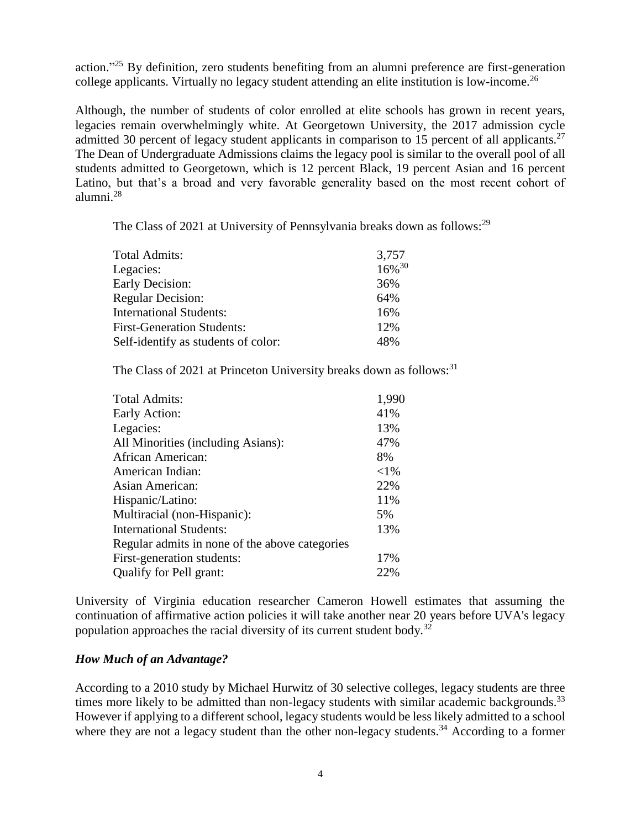action."<sup>25</sup> By definition, zero students benefiting from an alumni preference are first-generation college applicants. Virtually no legacy student attending an elite institution is low-income. 26

Although, the number of students of color enrolled at elite schools has grown in recent years, legacies remain overwhelmingly white. At Georgetown University, the 2017 admission cycle admitted 30 percent of legacy student applicants in comparison to 15 percent of all applicants.<sup>27</sup> The Dean of Undergraduate Admissions claims the legacy pool is similar to the overall pool of all students admitted to Georgetown, which is 12 percent Black, 19 percent Asian and 16 percent Latino, but that's a broad and very favorable generality based on the most recent cohort of alumni. 28

The Class of 2021 at University of Pennsylvania breaks down as follows:<sup>29</sup>

| 3,757       |
|-------------|
| $16\%^{30}$ |
| 36%         |
| 64%         |
| 16%         |
| 12%         |
| 48%         |
|             |

The Class of 2021 at Princeton University breaks down as follows:<sup>31</sup>

| <b>Total Admits:</b>                           | 1,990    |
|------------------------------------------------|----------|
| Early Action:                                  | 41%      |
| Legacies:                                      | 13%      |
| All Minorities (including Asians):             | 47%      |
| African American:                              | 8%       |
| American Indian:                               | ${<}1\%$ |
| Asian American:                                | 22%      |
| Hispanic/Latino:                               | 11%      |
| Multiracial (non-Hispanic):                    | 5%       |
| <b>International Students:</b>                 | 13%      |
| Regular admits in none of the above categories |          |
| First-generation students:                     | 17%      |
| Qualify for Pell grant:                        | 22%      |

University of Virginia education researcher Cameron Howell estimates that assuming the continuation of affirmative action policies it will take another near 20 years before UVA's legacy population approaches the racial diversity of its current student body.<sup>32</sup>

# *How Much of an Advantage?*

According to a 2010 study by Michael Hurwitz of 30 selective colleges, legacy students are three times more likely to be admitted than non-legacy students with similar academic backgrounds.<sup>33</sup> However if applying to a different school, legacy students would be less likely admitted to a school where they are not a legacy student than the other non-legacy students.<sup>34</sup> According to a former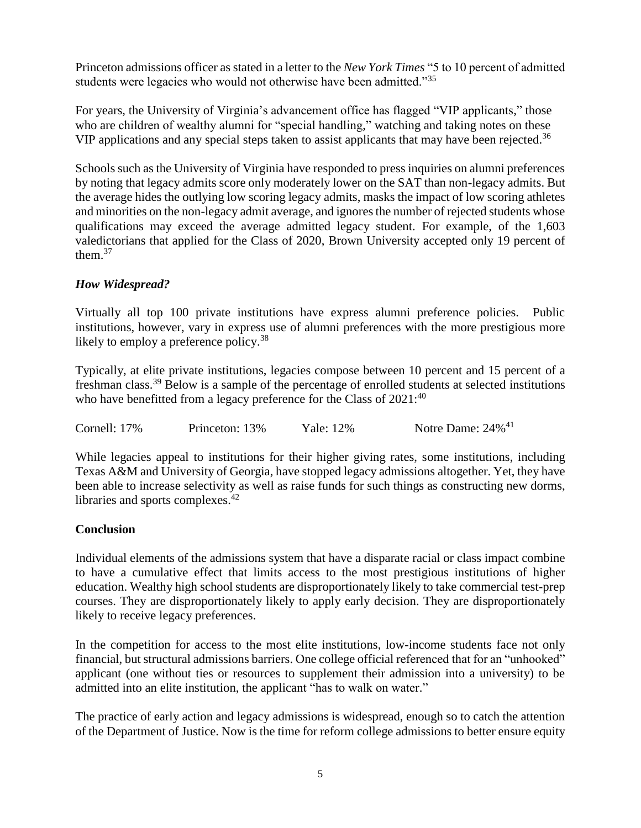Princeton admissions officer as stated in a letter to the *New York Times* "5 to 10 percent of admitted students were legacies who would not otherwise have been admitted."<sup>35</sup>

For years, the University of Virginia's advancement office has flagged "VIP applicants," those who are children of wealthy alumni for "special handling," watching and taking notes on these VIP applications and any special steps taken to assist applicants that may have been rejected.<sup>36</sup>

Schools such as the University of Virginia have responded to press inquiries on alumni preferences by noting that legacy admits score only moderately lower on the SAT than non-legacy admits. But the average hides the outlying low scoring legacy admits, masks the impact of low scoring athletes and minorities on the non-legacy admit average, and ignores the number of rejected students whose qualifications may exceed the average admitted legacy student. For example, of the 1,603 valedictorians that applied for the Class of 2020, Brown University accepted only 19 percent of them. $37$ 

# *How Widespread?*

Virtually all top 100 private institutions have express alumni preference policies. Public institutions, however, vary in express use of alumni preferences with the more prestigious more likely to employ a preference policy.<sup>38</sup>

Typically, at elite private institutions, legacies compose between 10 percent and 15 percent of a freshman class.<sup>39</sup> Below is a sample of the percentage of enrolled students at selected institutions who have benefitted from a legacy preference for the Class of 2021:<sup>40</sup>

Cornell: 17% Princeton: 13% Yale: 12% Notre Dame: 24%<sup>41</sup>

While legacies appeal to institutions for their higher giving rates, some institutions, including Texas A&M and University of Georgia, have stopped legacy admissions altogether. Yet, they have been able to increase selectivity as well as raise funds for such things as constructing new dorms, libraries and sports complexes.<sup>42</sup>

# **Conclusion**

Individual elements of the admissions system that have a disparate racial or class impact combine to have a cumulative effect that limits access to the most prestigious institutions of higher education. Wealthy high school students are disproportionately likely to take commercial test-prep courses. They are disproportionately likely to apply early decision. They are disproportionately likely to receive legacy preferences.

In the competition for access to the most elite institutions, low-income students face not only financial, but structural admissions barriers. One college official referenced that for an "unhooked" applicant (one without ties or resources to supplement their admission into a university) to be admitted into an elite institution, the applicant "has to walk on water."

The practice of early action and legacy admissions is widespread, enough so to catch the attention of the Department of Justice. Now is the time for reform college admissions to better ensure equity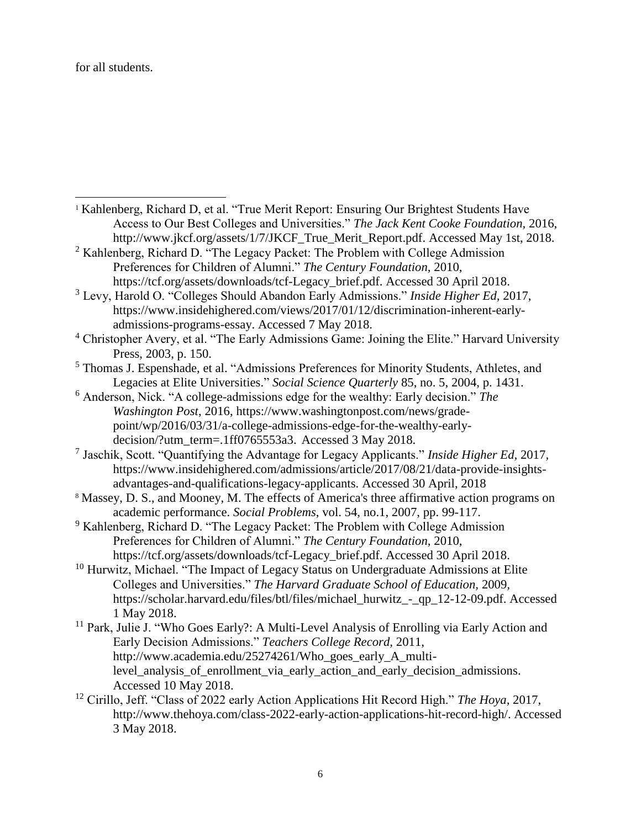for all students.

 $\overline{\phantom{a}}$ 

- <sup>1</sup> Kahlenberg, Richard D, et al. "True Merit Report: Ensuring Our Brightest Students Have Access to Our Best Colleges and Universities." *The Jack Kent Cooke Foundation,* 2016, http://www.jkcf.org/assets/1/7/JKCF True Merit Report.pdf. Accessed May 1st, 2018.
- <sup>2</sup> Kahlenberg, Richard D. "The Legacy Packet: The Problem with College Admission Preferences for Children of Alumni." *The Century Foundation,* 2010, https://tcf.org/assets/downloads/tcf-Legacy\_brief.pdf. Accessed 30 April 2018.
- <sup>3</sup> Levy, Harold O. "Colleges Should Abandon Early Admissions." *Inside Higher Ed,* 2017, https://www.insidehighered.com/views/2017/01/12/discrimination-inherent-earlyadmissions-programs-essay. Accessed 7 May 2018.
- <sup>4</sup> Christopher Avery, et al. "The Early Admissions Game: Joining the Elite." Harvard University Press, 2003, p. 150.
- <sup>5</sup> Thomas J. Espenshade, et al. "Admissions Preferences for Minority Students, Athletes, and Legacies at Elite Universities." *Social Science Quarterly* 85, no. 5, 2004, p. 1431.
- <sup>6</sup> Anderson, Nick. "A college-admissions edge for the wealthy: Early decision." *The Washington Post*, 2016, https://www.washingtonpost.com/news/gradepoint/wp/2016/03/31/a-college-admissions-edge-for-the-wealthy-earlydecision/?utm\_term=.1ff0765553a3. Accessed 3 May 2018.
- 7 Jaschik, Scott. "Quantifying the Advantage for Legacy Applicants." *Inside Higher Ed,* 2017*,*  https://www.insidehighered.com/admissions/article/2017/08/21/data-provide-insightsadvantages-and-qualifications-legacy-applicants. Accessed 30 April, 2018
- <sup>8</sup> Massey, D. S., and Mooney, M. The effects of America's three affirmative action programs on academic performance. *Social Problems*, vol. 54, no.1, 2007, pp. 99-117.
- <sup>9</sup> Kahlenberg, Richard D. "The Legacy Packet: The Problem with College Admission Preferences for Children of Alumni." *The Century Foundation,* 2010, https://tcf.org/assets/downloads/tcf-Legacy\_brief.pdf. Accessed 30 April 2018.
- <sup>10</sup> Hurwitz, Michael. "The Impact of Legacy Status on Undergraduate Admissions at Elite Colleges and Universities." *The Harvard Graduate School of Education,* 2009*,*  https://scholar.harvard.edu/files/btl/files/michael\_hurwitz\_-\_qp\_12-12-09.pdf. Accessed 1 May 2018.
- <sup>11</sup> Park, Julie J. "Who Goes Early?: A Multi-Level Analysis of Enrolling via Early Action and Early Decision Admissions." *Teachers College Record,* 2011, http://www.academia.edu/25274261/Who\_goes\_early\_A\_multilevel analysis of enrollment via early action and early decision admissions. Accessed 10 May 2018.
- <sup>12</sup> Cirillo, Jeff. "Class of 2022 early Action Applications Hit Record High." *The Hoya,* 2017, http://www.thehoya.com/class-2022-early-action-applications-hit-record-high/. Accessed 3 May 2018.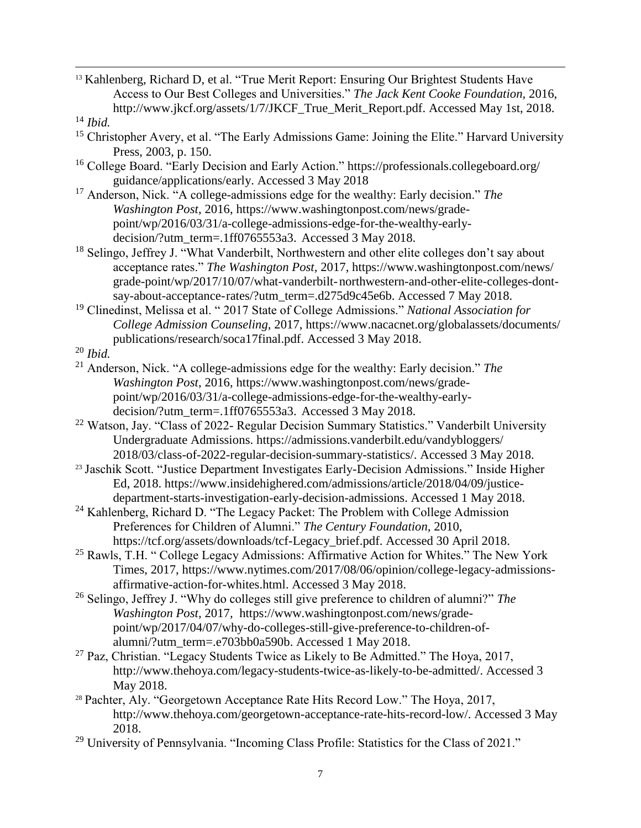<sup>13</sup> Kahlenberg, Richard D, et al. "True Merit Report: Ensuring Our Brightest Students Have Access to Our Best Colleges and Universities." *The Jack Kent Cooke Foundation,* 2016, http://www.jkcf.org/assets/1/7/JKCF\_True\_Merit\_Report.pdf. Accessed May 1st, 2018.

l

- <sup>15</sup> Christopher Avery, et al. "The Early Admissions Game: Joining the Elite." Harvard University Press, 2003, p. 150.
- <sup>16</sup> College Board. "Early Decision and Early Action." https://professionals.collegeboard.org/ guidance/applications/early. Accessed 3 May 2018
- <sup>17</sup> Anderson, Nick. "A college-admissions edge for the wealthy: Early decision." *The Washington Post*, 2016, https://www.washingtonpost.com/news/gradepoint/wp/2016/03/31/a-college-admissions-edge-for-the-wealthy-earlydecision/?utm\_term=.1ff0765553a3. Accessed 3 May 2018.
- <sup>18</sup> Selingo, Jeffrey J. "What Vanderbilt, Northwestern and other elite colleges don't say about acceptance rates." *The Washington Post,* 2017, https://www.washingtonpost.com/news/ grade-point/wp/2017/10/07/what-vanderbilt-northwestern-and-other-elite-colleges-dontsay-about-acceptance-rates/?utm\_term=.d275d9c45e6b. Accessed 7 May 2018.
- <sup>19</sup> Clinedinst, Melissa et al. " 2017 State of College Admissions." *National Association for College Admission Counseling,* 2017, https://www.nacacnet.org/globalassets/documents/ publications/research/soca17final.pdf. Accessed 3 May 2018.

- <sup>21</sup> Anderson, Nick. "A college-admissions edge for the wealthy: Early decision." *The Washington Post*, 2016, https://www.washingtonpost.com/news/gradepoint/wp/2016/03/31/a-college-admissions-edge-for-the-wealthy-earlydecision/?utm\_term=.1ff0765553a3. Accessed 3 May 2018.
- <sup>22</sup> Watson, Jay. "Class of 2022- Regular Decision Summary Statistics." Vanderbilt University Undergraduate Admissions. https://admissions.vanderbilt.edu/vandybloggers/ 2018/03/class-of-2022-regular-decision-summary-statistics/. Accessed 3 May 2018.
- <sup>23</sup> Jaschik Scott. "Justice Department Investigates Early-Decision Admissions." Inside Higher Ed, 2018. https://www.insidehighered.com/admissions/article/2018/04/09/justicedepartment-starts-investigation-early-decision-admissions. Accessed 1 May 2018.
- $24$  Kahlenberg, Richard D. "The Legacy Packet: The Problem with College Admission Preferences for Children of Alumni." *The Century Foundation,* 2010, https://tcf.org/assets/downloads/tcf-Legacy\_brief.pdf. Accessed 30 April 2018.
- $25$  Rawls, T.H. " College Legacy Admissions: Affirmative Action for Whites." The New York Times, 2017, https://www.nytimes.com/2017/08/06/opinion/college-legacy-admissionsaffirmative-action-for-whites.html. Accessed 3 May 2018.
- <sup>26</sup> Selingo, Jeffrey J. "Why do colleges still give preference to children of alumni?" *The Washington Post,* 2017*,* https://www.washingtonpost.com/news/gradepoint/wp/2017/04/07/why-do-colleges-still-give-preference-to-children-ofalumni/?utm\_term=.e703bb0a590b. Accessed 1 May 2018.
- $27$  Paz, Christian. "Legacy Students Twice as Likely to Be Admitted." The Hoya, 2017, http://www.thehoya.com/legacy-students-twice-as-likely-to-be-admitted/. Accessed 3 May 2018.
- <sup>28</sup> Pachter, Aly. "Georgetown Acceptance Rate Hits Record Low." The Hoya, 2017, http://www.thehoya.com/georgetown-acceptance-rate-hits-record-low/. Accessed 3 May 2018.
- <sup>29</sup> University of Pennsylvania. "Incoming Class Profile: Statistics for the Class of 2021."

<sup>14</sup> *Ibid.*

<sup>20</sup> *Ibid.*